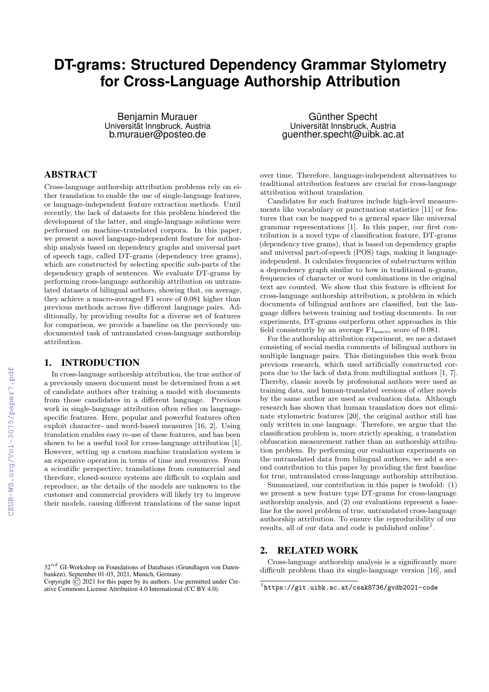# **DT-grams: Structured Dependency Grammar Stylometry for Cross-Language Authorship Attribution**

Benjamin Murauer Universität Innsbruck, Austria b.murauer@posteo.de

# ABSTRACT

Cross-language authorship attribution problems rely on either translation to enable the use of single-language features, or language-independent feature extraction methods. Until recently, the lack of datasets for this problem hindered the development of the latter, and single-language solutions were performed on machine-translated corpora. In this paper, we present a novel language-independent feature for authorship analysis based on dependency graphs and universal part of speech tags, called DT-grams (dependency tree grams), which are constructed by selecting specific sub-parts of the dependency graph of sentences. We evaluate DT-grams by performing cross-language authorship attribution on untranslated datasets of bilingual authors, showing that, on average, they achieve a macro-averaged F1 score of 0.081 higher than previous methods across five different language pairs. Additionally, by providing results for a diverse set of features for comparison, we provide a baseline on the previously undocumented task of untranslated cross-language authorship attribution.

### 1. INTRODUCTION

In cross-language authorship attribution, the true author of a previously unseen document must be determined from a set of candidate authors after training a model with documents from those candidates in a different language. Previous work in single-language attribution often relies on languagespecific features. Here, popular and powerful features often exploit character- and word-based measures [16, 2]. Using translation enables easy re-use of these features, and has been shown to be a useful tool for cross-language attribution [1]. However, setting up a custom machine translation system is an expensive operation in terms of time and resources. From a scientific perspective, translations from commercial and therefore, closed-source systems are difficult to explain and reproduce, as the details of the models are unknown to the customer and commercial providers will likely try to improve their models, causing different translations of the same input

 $32^{nd}$  GI-Workshop on Foundations of Databases (Grundlagen von Datenbanken), September 01-03, 2021, Munich, Germany.

Copyright  $\overline{C}$  2021 for this paper by its authors. Use permitted under Creative Commons License Attribution 4.0 International (CC BY 4.0).

Günther Specht Universität Innsbruck, Austria guenther.specht@uibk.ac.at

over time. Therefore, language-independent alternatives to traditional attribution features are crucial for cross-language attribution without translation.

Candidates for such features include high-level measurements like vocabulary or punctuation statistics [11] or features that can be mapped to a general space like universal grammar representations [1]. In this paper, our first contribution is a novel type of classification feature, DT-grams (dependency tree grams), that is based on dependency graphs and universal part-of-speech (POS) tags, making it languageindependent. It calculates frequencies of substructures within a dependency graph similar to how in traditional n-grams, frequencies of character or word combinations in the original text are counted. We show that this feature is efficient for cross-language authorship attribution, a problem in which documents of bilingual authors are classified, but the language differs between training and testing documents. In our experiments, DT-grams outperform other approaches in this field consistently by an average  $F1_{\text{macro}}$  score of 0.081.

For the authorship attribution experiment, we use a dataset consisting of social media comments of bilingual authors in multiple language pairs. This distinguishes this work from previous research, which used artificially constructed corpora due to the lack of data from multilingual authors [1, 7]. Thereby, classic novels by professional authors were used as training data, and human-translated versions of other novels by the same author are used as evaluation data. Although research has shown that human translation does not eliminate stylometric features [20], the original author still has only written in one language. Therefore, we argue that the classification problem is, more strictly speaking, a translation obfuscation measurement rather than an authorship attribution problem. By performing our evaluation experiments on the untranslated data from bilingual authors, we add a second contribution to this paper by providing the first baseline for true, untranslated cross-language authorship attribution.

Summarized, our contribution in this paper is twofold: (1) we present a new feature type DT-grams for cross-language authorship analysis, and (2) our evaluations represent a baseline for the novel problem of true, untranslated cross-language authorship attribution. To ensure the reproducibility of our results, all of our data and code is published online<sup>1</sup>.

# 2. RELATED WORK

Cross-language authorship analysis is a significantly more difficult problem than its single-language version [16], and

<sup>1</sup> https://git.uibk.ac.at/csak8736/gvdb2021-code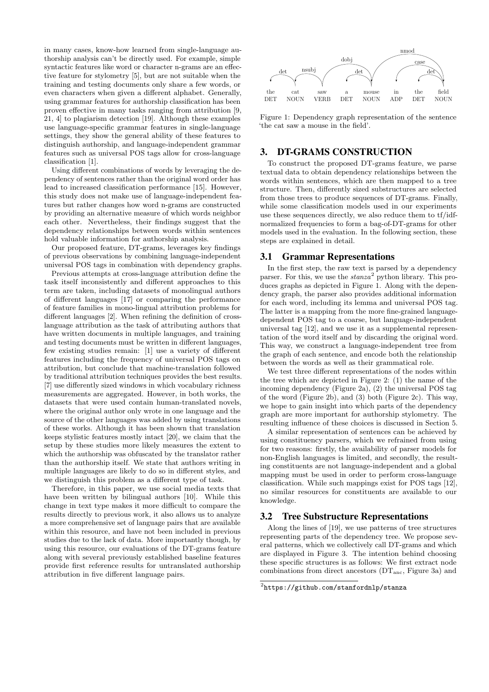in many cases, know-how learned from single-language authorship analysis can't be directly used. For example, simple syntactic features like word or character n-grams are an effective feature for stylometry [5], but are not suitable when the training and testing documents only share a few words, or even characters when given a different alphabet. Generally, using grammar features for authorship classification has been proven effective in many tasks ranging from attribution [9, 21, 4] to plagiarism detection [19]. Although these examples use language-specific grammar features in single-language settings, they show the general ability of these features to distinguish authorship, and language-independent grammar features such as universal POS tags allow for cross-language classification [1].

Using different combinations of words by leveraging the dependency of sentences rather than the original word order has lead to increased classification performance [15]. However, this study does not make use of language-independent features but rather changes how word n-grams are constructed by providing an alternative measure of which words neighbor each other. Nevertheless, their findings suggest that the dependency relationships between words within sentences hold valuable information for authorship analysis.

Our proposed feature, DT-grams, leverages key findings of previous observations by combining language-independent universal POS tags in combination with dependency graphs.

Previous attempts at cross-language attribution define the task itself inconsistently and different approaches to this term are taken, including datasets of monolingual authors of different languages [17] or comparing the performance of feature families in mono-lingual attribution problems for different languages [2]. When refining the definition of crosslanguage attribution as the task of attributing authors that have written documents in multiple languages, and training and testing documents must be written in different languages, few existing studies remain: [1] use a variety of different features including the frequency of universal POS tags on attribution, but conclude that machine-translation followed by traditional attribution techniques provides the best results. [7] use differently sized windows in which vocabulary richness measurements are aggregated. However, in both works, the datasets that were used contain human-translated novels, where the original author only wrote in one language and the source of the other languages was added by using translations of these works. Although it has been shown that translation keeps stylistic features mostly intact [20], we claim that the setup by these studies more likely measures the extent to which the authorship was obfuscated by the translator rather than the authorship itself. We state that authors writing in multiple languages are likely to do so in different styles, and we distinguish this problem as a different type of task.

Therefore, in this paper, we use social media texts that have been written by bilingual authors [10]. While this change in text type makes it more difficult to compare the results directly to previous work, it also allows us to analyze a more comprehensive set of language pairs that are available within this resource, and have not been included in previous studies due to the lack of data. More importantly though, by using this resource, our evaluations of the DT-grams feature along with several previously established baseline features provide first reference results for untranslated authorship attribution in five different language pairs.



Figure 1: Dependency graph representation of the sentence 'the cat saw a mouse in the field'.

# 3. DT-GRAMS CONSTRUCTION

To construct the proposed DT-grams feature, we parse textual data to obtain dependency relationships between the words within sentences, which are then mapped to a tree structure. Then, differently sized substructures are selected from those trees to produce sequences of DT-grams. Finally, while some classification models used in our experiments use these sequences directly, we also reduce them to tf/idfnormalized frequencies to form a bag-of-DT-grams for other models used in the evaluation. In the following section, these steps are explained in detail.

#### 3.1 Grammar Representations

In the first step, the raw text is parsed by a dependency parser. For this, we use the  $stanza^2$  python library. This produces graphs as depicted in Figure 1. Along with the dependency graph, the parser also provides additional information for each word, including its lemma and universal POS tag. The latter is a mapping from the more fine-grained languagedependent POS tag to a coarse, but language-independent universal tag [12], and we use it as a supplemental representation of the word itself and by discarding the original word. This way, we construct a language-independent tree from the graph of each sentence, and encode both the relationship between the words as well as their grammatical role.

We test three different representations of the nodes within the tree which are depicted in Figure 2: (1) the name of the incoming dependency (Figure 2a), (2) the universal POS tag of the word (Figure 2b), and (3) both (Figure 2c). This way, we hope to gain insight into which parts of the dependency graph are more important for authorship stylometry. The resulting influence of these choices is discussed in Section 5.

A similar representation of sentences can be achieved by using constituency parsers, which we refrained from using for two reasons: firstly, the availability of parser models for non-English languages is limited, and secondly, the resulting constituents are not language-independent and a global mapping must be used in order to perform cross-language classification. While such mappings exist for POS tags [12], no similar resources for constituents are available to our knowledge.

# 3.2 Tree Substructure Representations

Along the lines of [19], we use patterns of tree structures representing parts of the dependency tree. We propose several patterns, which we collectively call DT-grams and which are displayed in Figure 3. The intention behind choosing these specific structures is as follows: We first extract node combinations from direct ancestors  $(DT_{anc},$  Figure 3a) and

<sup>2</sup> https://github.com/stanfordnlp/stanza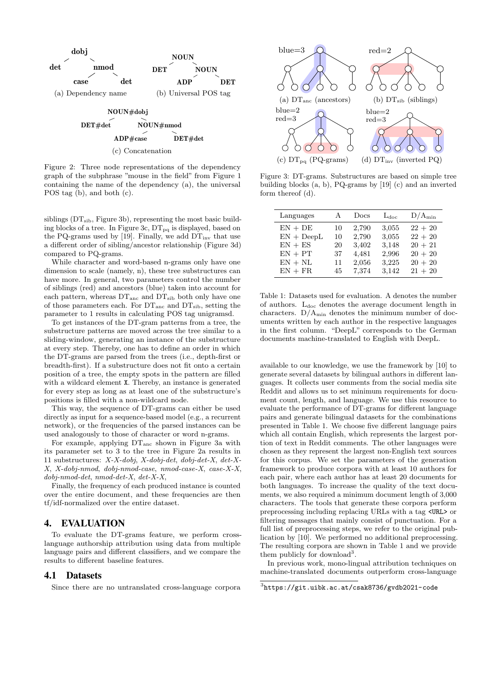

Figure 2: Three node representations of the dependency graph of the subphrase "mouse in the field" from Figure 1 containing the name of the dependency (a), the universal POS tag (b), and both (c).

siblings (DT<sub>sib</sub>, Figure 3b), representing the most basic building blocks of a tree. In Figure 3c,  $DT_{pq}$  is displayed, based on the PQ-grams used by [19]. Finally, we add  $DT_{inv}$  that use a different order of sibling/ancestor relationship (Figure 3d) compared to PQ-grams.

While character and word-based n-grams only have one dimension to scale (namely, n), these tree substructures can have more. In general, two parameters control the number of siblings (red) and ancestors (blue) taken into account for each pattern, whereas  $DT<sub>anc</sub>$  and  $DT<sub>sib</sub>$  both only have one of those parameters each. For  $DT<sub>anc</sub>$  and  $DT<sub>sib</sub>$ , setting the parameter to 1 results in calculating POS tag unigramsd.

To get instances of the DT-gram patterns from a tree, the substructure patterns are moved across the tree similar to a sliding-window, generating an instance of the substructure at every step. Thereby, one has to define an order in which the DT-grams are parsed from the trees (i.e., depth-first or breadth-first). If a substructure does not fit onto a certain position of a tree, the empty spots in the pattern are filled with a wildcard element X. Thereby, an instance is generated for every step as long as at least one of the substructure's positions is filled with a non-wildcard node.

This way, the sequence of DT-grams can either be used directly as input for a sequence-based model (e.g., a recurrent network), or the frequencies of the parsed instances can be used analogously to those of character or word n-grams.

For example, applying  $DT_{anc}$  shown in Figure 3a with its parameter set to 3 to the tree in Figure 2a results in 11 substructures: X-X-dobj, X-dobj-det, dobj-det-X, det-X-X, X-dobj-nmod, dobj-nmod-case, nmod-case-X, case-X-X, dobj-nmod-det, nmod-det-X, det-X-X,

Finally, the frequency of each produced instance is counted over the entire document, and these frequencies are then tf/idf-normalized over the entire dataset.

#### 4. EVALUATION

To evaluate the DT-grams feature, we perform crosslanguage authorship attribution using data from multiple language pairs and different classifiers, and we compare the results to different baseline features.

#### 4.1 Datasets

Since there are no untranslated cross-language corpora



Figure 3: DT-grams. Substructures are based on simple tree building blocks (a, b), PQ-grams by [19] (c) and an inverted form thereof (d).

| Languages    | A  | Docs  | $L_{\rm doc}$ | $D/A_{\min}$ |
|--------------|----|-------|---------------|--------------|
| $EN + DE$    | 10 | 2,790 | 3,055         | $22 + 20$    |
| $EN + DeepL$ | 10 | 2,790 | 3,055         | $22 + 20$    |
| $EN + ES$    | 20 | 3,402 | 3,148         | $20 + 21$    |
| $EN + PT$    | 37 | 4,481 | 2,996         | $20 + 20$    |
| $EN + NL$    | 11 | 2,056 | 3,225         | $20 + 20$    |
| $EN + FR$    | 45 | 7,374 | 3,142         | $21 + 20$    |

Table 1: Datasets used for evaluation. A denotes the number of authors.  $L_{\text{doc}}$  denotes the average document length in characters.  $D/A_{\text{min}}$  denotes the minimum number of documents written by each author in the respective languages in the first column. "DeepL" corresponds to the German documents machine-translated to English with DeepL.

available to our knowledge, we use the framework by [10] to generate several datasets by bilingual authors in different languages. It collects user comments from the social media site Reddit and allows us to set minimum requirements for document count, length, and language. We use this resource to evaluate the performance of DT-grams for different language pairs and generate bilingual datasets for the combinations presented in Table 1. We choose five different language pairs which all contain English, which represents the largest portion of text in Reddit comments. The other languages were chosen as they represent the largest non-English text sources for this corpus. We set the parameters of the generation framework to produce corpora with at least 10 authors for each pair, where each author has at least 20 documents for both languages. To increase the quality of the text documents, we also required a minimum document length of 3,000 characters. The tools that generate these corpora perform preprocessing including replacing URLs with a tag <URL> or filtering messages that mainly consist of punctuation. For a full list of preprocessing steps, we refer to the original publication by [10]. We performed no additional preprocessing. The resulting corpora are shown in Table 1 and we provide them publicly for download<sup>3</sup>.

In previous work, mono-lingual attribution techniques on machine-translated documents outperform cross-language

 $^3$ https://git.uibk.ac.at/csak8736/gvdb2021-code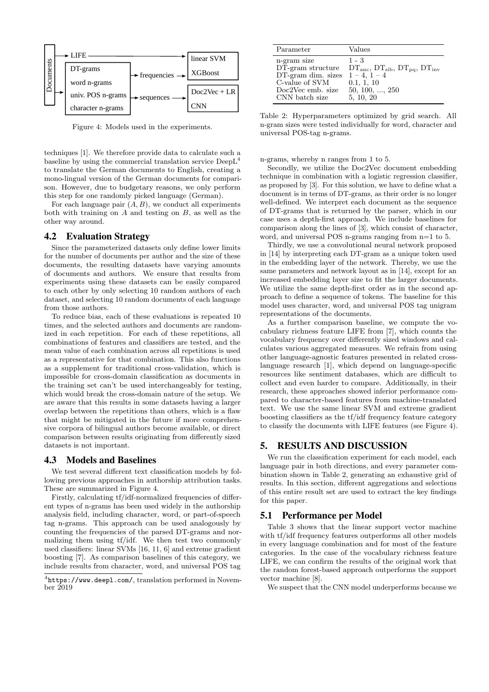

Figure 4: Models used in the experiments.

techniques [1]. We therefore provide data to calculate such a baseline by using the commercial translation service  $\text{DeepL}^4$ to translate the German documents to English, creating a mono-lingual version of the German documents for comparison. However, due to budgetary reasons, we only perform this step for one randomly picked language (German).

For each language pair  $(A, B)$ , we conduct all experiments both with training on  $A$  and testing on  $B$ , as well as the other way around.

#### 4.2 Evaluation Strategy

Since the parameterized datasets only define lower limits for the number of documents per author and the size of these documents, the resulting datasets have varying amounts of documents and authors. We ensure that results from experiments using these datasets can be easily compared to each other by only selecting 10 random authors of each dataset, and selecting 10 random documents of each language from those authors.

To reduce bias, each of these evaluations is repeated 10 times, and the selected authors and documents are randomized in each repetition. For each of these repetitions, all combinations of features and classifiers are tested, and the mean value of each combination across all repetitions is used as a representative for that combination. This also functions as a supplement for traditional cross-validation, which is impossible for cross-domain classification as documents in the training set can't be used interchangeably for testing, which would break the cross-domain nature of the setup. We are aware that this results in some datasets having a larger overlap between the repetitions than others, which is a flaw that might be mitigated in the future if more comprehensive corpora of bilingual authors become available, or direct comparison between results originating from differently sized datasets is not important.

#### 4.3 Models and Baselines

We test several different text classification models by following previous approaches in authorship attribution tasks. These are summarized in Figure 4.

Firstly, calculating tf/idf-normalized frequencies of different types of n-grams has been used widely in the authorship analysis field, including character, word, or part-of-speech tag n-grams. This approach can be used analogously by counting the frequencies of the parsed DT-grams and normalizing them using tf/idf. We then test two commonly used classifiers: linear SVMs [16, 11, 6] and extreme gradient boosting [7]. As comparison baselines of this category, we include results from character, word, and universal POS tag

| Parameter                                                                                                                              | Values                                                                                      |
|----------------------------------------------------------------------------------------------------------------------------------------|---------------------------------------------------------------------------------------------|
| n-gram size<br>$D\bar{T}$ -gram structure<br>DT-gram dim. sizes $1-4$ , $1-4$<br>C-value of SVM<br>Doc2Vec emb. size<br>CNN batch size | $1 - 3$<br>$DTanc, DTsib, DTpa, DTinv$<br>0.1, 1, 10<br>$50, 100, \ldots, 250$<br>5, 10, 20 |

Table 2: Hyperparameters optimized by grid search. All n-gram sizes were tested individually for word, character and universal POS-tag n-grams.

n-grams, whereby n ranges from 1 to 5.

Secondly, we utilize the Doc2Vec document embedding technique in combination with a logistic regression classifier, as proposed by [3]. For this solution, we have to define what a document is in terms of DT-grams, as their order is no longer well-defined. We interpret each document as the sequence of DT-grams that is returned by the parser, which in our case uses a depth-first approach. We include baselines for comparison along the lines of [3], which consist of character, word, and universal POS n-grams ranging from n=1 to 5.

Thirdly, we use a convolutional neural network proposed in [14] by interpreting each DT-gram as a unique token used in the embedding layer of the network. Thereby, we use the same parameters and network layout as in [14], except for an increased embedding layer size to fit the larger documents. We utilize the same depth-first order as in the second approach to define a sequence of tokens. The baseline for this model uses character, word, and universal POS tag unigram representations of the documents.

As a further comparison baseline, we compute the vocabulary richness feature LIFE from [7], which counts the vocabulary frequency over differently sized windows and calculates various aggregated measures. We refrain from using other language-agnostic features presented in related crosslanguage research [1], which depend on language-specific resources like sentiment databases, which are difficult to collect and even harder to compare. Additionally, in their research, these approaches showed inferior performance compared to character-based features from machine-translated text. We use the same linear SVM and extreme gradient boosting classifiers as the tf/idf frequency feature category to classify the documents with LIFE features (see Figure 4).

# 5. RESULTS AND DISCUSSION

We run the classification experiment for each model, each language pair in both directions, and every parameter combination shown in Table 2, generating an exhaustive grid of results. In this section, different aggregations and selections of this entire result set are used to extract the key findings for this paper.

#### 5.1 Performance per Model

Table 3 shows that the linear support vector machine with tf/idf frequency features outperforms all other models in every language combination and for most of the feature categories. In the case of the vocabulary richness feature LIFE, we can confirm the results of the original work that the random forest-based approach outperforms the support vector machine [8].

We suspect that the CNN model underperforms because we

<sup>4</sup> https://www.deepl.com/, translation performed in November 2019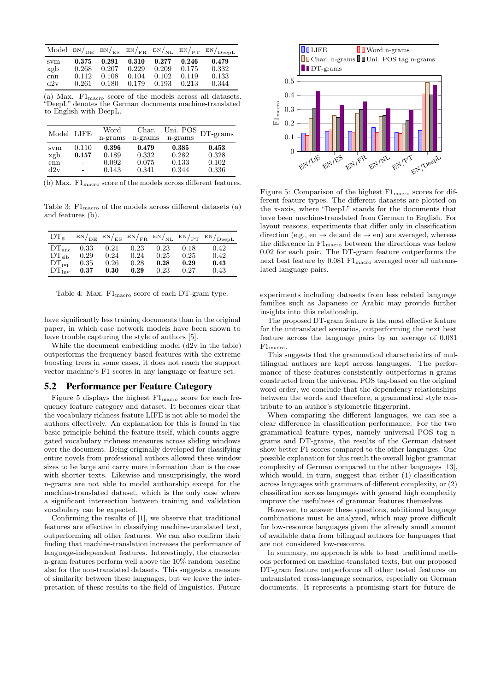|     |       |                 |                         |       |       | Model $EN/_{DE}$ $EN/_{ES}$ $EN/_{FR}$ $EN/_{NL}$ $EN/_{PT}$ $EN/_{DeepL}$ |
|-----|-------|-----------------|-------------------------|-------|-------|----------------------------------------------------------------------------|
| svm | 0.375 |                 | $0.291$ $0.310$ $0.277$ |       | 0.246 | 0.479                                                                      |
| xgb | 0.268 | $0.207$ $0.229$ |                         | 0.209 | 0.175 | 0.332                                                                      |
| cnn | 0.112 | 0.108           | $0.104$ $0.102$         |       | 0.119 | 0.133                                                                      |
| d2v | 0.261 | 0.180           | 0.179 0.193             |       | 0.213 | 0.344                                                                      |

(a) Max.  $F1_{\text{macro}}$  score of the models across all datasets. "DeepL" denotes the German documents machine-translated to English with DeepL.

| Model LIFE |                          | Word<br>n-grams | Char.<br>n-grams | n-grams | Uni. POS $_{\text{DT-grams}}$ |
|------------|--------------------------|-----------------|------------------|---------|-------------------------------|
| svm        | 0.110                    | 0.396           | 0.479            | 0.385   | 0.453                         |
| xgb        | 0.157                    | 0.189           | 0.332            | 0.282   | 0.328                         |
| cnn        | $\blacksquare$           | 0.092           | 0.075            | 0.133   | 0.102                         |
| d2v        | $\overline{\phantom{0}}$ | 0.143           | 0.341            | 0.344   | 0.336                         |

(b) Max.  $F1_{\text{macro}}$  score of the models across different features.

Table 3:  $F1_{\text{macro}}$  of the models across different datasets (a) and features (b).

| $DT_{\sigma}$     |      |      |      |      |      | $EN/DE$ $EN/ES$ $EN/FR$ $EN/NL$ $EN/PT$ $EN/DeepL$ |
|-------------------|------|------|------|------|------|----------------------------------------------------|
| DT <sub>anc</sub> | 0.33 | 0.21 | 0.23 | 0.23 | 0.18 | 0.42                                               |
| $DT_{\rm sib}$    | 0.29 | 0.24 | 0.24 | 0.25 | 0.25 | 0.42                                               |
| $DT_{pq}$         | 0.35 | 0.26 | 0.28 | 0.28 | 0.29 | 0.43                                               |
| $DT_{\text{inv}}$ | 0.37 | 0.30 | 0.29 | 0.23 | 0.27 | 0.43                                               |

Table 4: Max.  $F1_{\text{macro}}$  score of each DT-gram type.

have significantly less training documents than in the original paper, in which case network models have been shown to have trouble capturing the style of authors [5].

While the document embedding model (d2v in the table) outperforms the frequency-based features with the extreme boosting trees in some cases, it does not reach the support vector machine's F1 scores in any language or feature set.

#### 5.2 Performance per Feature Category

Figure 5 displays the highest  $\rm{F1_{macro}}$  score for each frequency feature category and dataset. It becomes clear that the vocabulary richness feature LIFE is not able to model the authors effectively. An explanation for this is found in the basic principle behind the feature itself, which counts aggregated vocabulary richness measures across sliding windows over the document. Being originally developed for classifying entire novels from professional authors allowed these window sizes to be large and carry more information than is the case with shorter texts. Likewise and unsurprisingly, the word n-grams are not able to model authorship except for the machine-translated dataset, which is the only case where a significant intersection between training and validation vocabulary can be expected.

Confirming the results of [1], we observe that traditional features are effective in classifying machine-translated text, outperforming all other features. We can also confirm their finding that machine-translation increases the performance of language-independent features. Interestingly, the character n-gram features perform well above the 10% random baseline also for the non-translated datasets. This suggests a measure of similarity between these languages, but we leave the interpretation of these results to the field of linguistics. Future



Figure 5: Comparison of the highest  $\rm{F1}_{\rm{macro}}$  scores for different feature types. The different datasets are plotted on the x-axis, where "DeepL" stands for the documents that have been machine-translated from German to English. For layout reasons, experiments that differ only in classification direction (e.g., en  $\rightarrow$  de and de  $\rightarrow$  en) are averaged, whereas the difference in  $F1_{\text{macro}}$  between the directions was below 0.02 for each pair. The DT-gram feature outperforms the next best feature by 0.081  $F1_{\text{macro}}$  averaged over all untranslated language pairs.

experiments including datasets from less related language families such as Japanese or Arabic may provide further insights into this relationship.

The proposed DT-gram feature is the most effective feature for the untranslated scenarios, outperforming the next best feature across the language pairs by an average of 0.081 F1macro.

This suggests that the grammatical characteristics of multilingual authors are kept across languages. The performance of these features consistently outperforms n-grams constructed from the universal POS tag-based on the original word order, we conclude that the dependency relationships between the words and therefore, a grammatical style contribute to an author's stylometric fingerprint.

When comparing the different languages, we can see a clear difference in classification performance. For the two grammatical feature types, namely universal POS tag ngrams and DT-grams, the results of the German dataset show better F1 scores compared to the other languages. One possible explanation for this result the overall higher grammar complexity of German compared to the other languages [13], which would, in turn, suggest that either  $(1)$  classification across languages with grammars of different complexity, or (2) classification across languages with general high complexity improve the usefulness of grammar features themselves.

However, to answer these questions, additional language combinations must be analyzed, which may prove difficult for low-resource languages given the already small amount of available data from bilingual authors for languages that are not considered low-resource.

In summary, no approach is able to beat traditional methods performed on machine-translated texts, but our proposed DT-gram feature outperforms all other tested features on untranslated cross-language scenarios, especially on German documents. It represents a promising start for future de-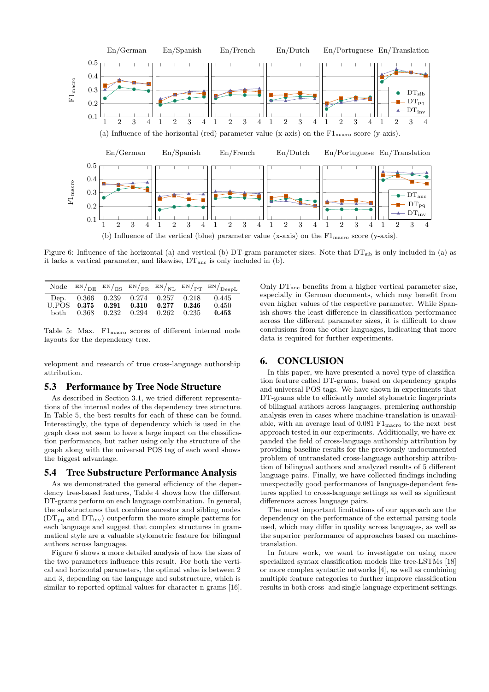

Figure 6: Influence of the horizontal (a) and vertical (b) DT-gram parameter sizes. Note that  $DT_{sib}$  is only included in (a) as it lacks a vertical parameter, and likewise,  $DT<sub>anc</sub>$  is only included in (b).

|        |                                                                         |                         |       |                | Node $EN/_{DE} EN/_{ES} EN/_{FR} EN/_{NL} EN/_{PT} EN/_{DeepL}$ |
|--------|-------------------------------------------------------------------------|-------------------------|-------|----------------|-----------------------------------------------------------------|
| hoth – | Dep. $0.366$ $0.239$ $0.274$ $0.257$ $0.218$<br>U.POS 0.375 0.291 0.310 | 0.368 0.232 0.294 0.262 | 0.277 | 0.246<br>0.235 | 0.445<br>0.450<br>0.453                                         |

Table 5: Max. F1macro scores of different internal node layouts for the dependency tree.

velopment and research of true cross-language authorship attribution.

#### 5.3 Performance by Tree Node Structure

As described in Section 3.1, we tried different representations of the internal nodes of the dependency tree structure. In Table 5, the best results for each of these can be found. Interestingly, the type of dependency which is used in the graph does not seem to have a large impact on the classification performance, but rather using only the structure of the graph along with the universal POS tag of each word shows the biggest advantage.

#### 5.4 Tree Substructure Performance Analysis

As we demonstrated the general efficiency of the dependency tree-based features, Table 4 shows how the different DT-grams perform on each language combination. In general, the substructures that combine ancestor and sibling nodes  $(DT_{pq}$  and  $DT_{inv}$ ) outperform the more simple patterns for each language and suggest that complex structures in grammatical style are a valuable stylometric feature for bilingual authors across languages.

Figure 6 shows a more detailed analysis of how the sizes of the two parameters influence this result. For both the vertical and horizontal parameters, the optimal value is between 2 and 3, depending on the language and substructure, which is similar to reported optimal values for character n-grams [16].

Only DTanc benefits from a higher vertical parameter size, especially in German documents, which may benefit from even higher values of the respective parameter. While Spanish shows the least difference in classification performance across the different parameter sizes, it is difficult to draw conclusions from the other languages, indicating that more data is required for further experiments.

## 6. CONCLUSION

In this paper, we have presented a novel type of classification feature called DT-grams, based on dependency graphs and universal POS tags. We have shown in experiments that DT-grams able to efficiently model stylometric fingerprints of bilingual authors across languages, premiering authorship analysis even in cases where machine-translation is unavailable, with an average lead of  $0.081$   $F1_{\text{macro}}$  to the next best approach tested in our experiments. Additionally, we have expanded the field of cross-language authorship attribution by providing baseline results for the previously undocumented problem of untranslated cross-language authorship attribution of bilingual authors and analyzed results of 5 different language pairs. Finally, we have collected findings including unexpectedly good performances of language-dependent features applied to cross-language settings as well as significant differences across language pairs.

The most important limitations of our approach are the dependency on the performance of the external parsing tools used, which may differ in quality across languages, as well as the superior performance of approaches based on machinetranslation.

In future work, we want to investigate on using more specialized syntax classification models like tree-LSTMs [18] or more complex syntactic networks [4], as well as combining multiple feature categories to further improve classification results in both cross- and single-language experiment settings.